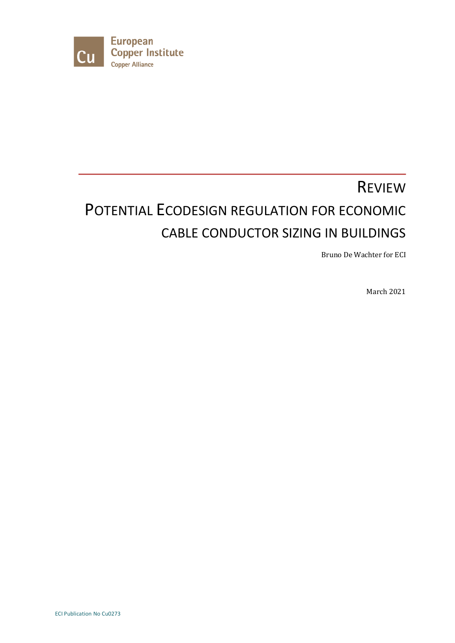

# REVIEW POTENTIAL ECODESIGN REGULATION FOR ECONOMIC CABLE CONDUCTOR SIZING IN BUILDINGS

Bruno De Wachter for ECI

March 2021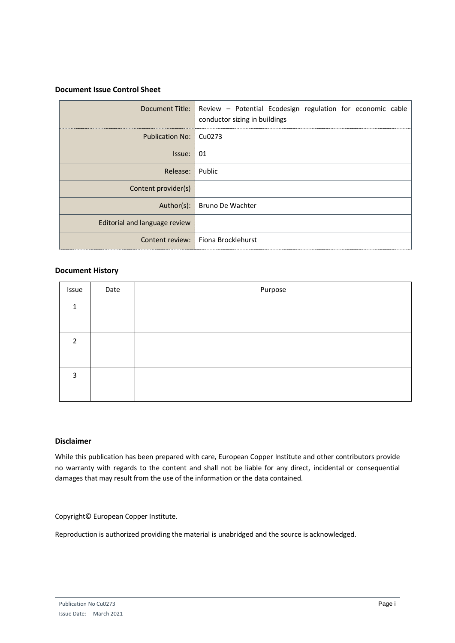#### **Document Issue Control Sheet**

|                               | Document Title: Review - Potential Ecodesign regulation for economic cable<br>conductor sizing in buildings |
|-------------------------------|-------------------------------------------------------------------------------------------------------------|
| Publication No: Cu0273        |                                                                                                             |
| Is sue: 01                    |                                                                                                             |
| Release: Public               |                                                                                                             |
| Content provider(s)           |                                                                                                             |
|                               | Author(s): Bruno De Wachter                                                                                 |
| Editorial and language review |                                                                                                             |
|                               | Content review: Fiona Brocklehurst                                                                          |

#### **Document History**

| Issue          | Date | Purpose |
|----------------|------|---------|
| $\mathbf{1}$   |      |         |
|                |      |         |
| $\overline{2}$ |      |         |
|                |      |         |
| 3              |      |         |
|                |      |         |

#### **Disclaimer**

While this publication has been prepared with care, European Copper Institute and other contributors provide no warranty with regards to the content and shall not be liable for any direct, incidental or consequential damages that may result from the use of the information or the data contained.

Copyright© European Copper Institute.

Reproduction is authorized providing the material is unabridged and the source is acknowledged.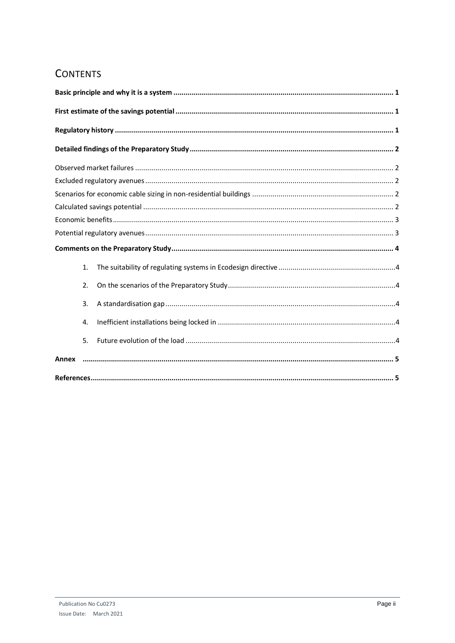# **CONTENTS**

| 1.    |
|-------|
| 2.    |
| 3.    |
| 4.    |
| 5.    |
| Annex |
|       |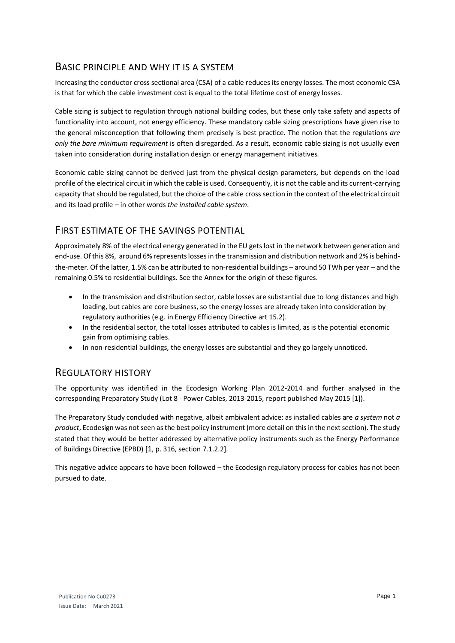## <span id="page-3-0"></span>BASIC PRINCIPLE AND WHY IT IS A SYSTEM

Increasing the conductor cross sectional area (CSA) of a cable reduces its energy losses. The most economic CSA is that for which the cable investment cost is equal to the total lifetime cost of energy losses.

Cable sizing is subject to regulation through national building codes, but these only take safety and aspects of functionality into account, not energy efficiency. These mandatory cable sizing prescriptions have given rise to the general misconception that following them precisely is best practice. The notion that the regulations *are only the bare minimum requirement* is often disregarded. As a result, economic cable sizing is not usually even taken into consideration during installation design or energy management initiatives.

Economic cable sizing cannot be derived just from the physical design parameters, but depends on the load profile of the electrical circuit in which the cable is used. Consequently, it is not the cable and its current-carrying capacity that should be regulated, but the choice of the cable cross section in the context of the electrical circuit and its load profile – in other words *the installed cable system*.

## <span id="page-3-1"></span>FIRST ESTIMATE OF THE SAVINGS POTENTIAL

Approximately 8% of the electrical energy generated in the EU gets lost in the network between generation and end-use. Of this 8%, around 6% represents losses in the transmission and distribution network and 2% is behindthe-meter. Of the latter, 1.5% can be attributed to non-residential buildings – around 50 TWh per year – and the remaining 0.5% to residential buildings. See the Annex for the origin of these figures.

- In the transmission and distribution sector, cable losses are substantial due to long distances and high loading, but cables are core business, so the energy losses are already taken into consideration by regulatory authorities (e.g. in Energy Efficiency Directive art 15.2).
- In the residential sector, the total losses attributed to cables is limited, as is the potential economic gain from optimising cables.
- In non-residential buildings, the energy losses are substantial and they go largely unnoticed.

### <span id="page-3-2"></span>REGULATORY HISTORY

The opportunity was identified in the Ecodesign Working Plan 2012-2014 and further analysed in the corresponding Preparatory Study (Lot 8 - Power Cables, 2013-2015, report published May 2015 [1]).

The Preparatory Study concluded with negative, albeit ambivalent advice: as installed cables are *a system* not *a product*, Ecodesign was not seen as the best policy instrument (more detail on this in the next section). The study stated that they would be better addressed by alternative policy instruments such as the Energy Performance of Buildings Directive (EPBD) [1, p. 316, section 7.1.2.2].

<span id="page-3-3"></span>This negative advice appears to have been followed – the Ecodesign regulatory process for cables has not been pursued to date.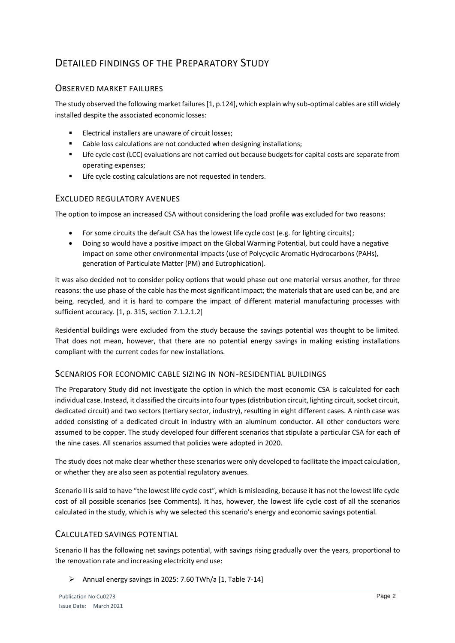## <span id="page-4-0"></span>DETAILED FINDINGS OF THE PREPARATORY STUDY

#### <span id="page-4-1"></span>OBSERVED MARKET FAILURES

The study observed the following market failures [\[1,](#page-3-3) p.124], which explain why sub-optimal cables are still widely installed despite the associated economic losses:

- Electrical installers are unaware of circuit losses:
- Cable loss calculations are not conducted when designing installations;
- Life cycle cost (LCC) evaluations are not carried out because budgets for capital costs are separate from operating expenses;
- Life cycle costing calculations are not requested in tenders.

#### <span id="page-4-2"></span>EXCLUDED REGULATORY AVENUES

The option to impose an increased CSA without considering the load profile was excluded for two reasons:

- For some circuits the default CSA has the lowest life cycle cost (e.g. for lighting circuits);
- Doing so would have a positive impact on the Global Warming Potential, but could have a negative impact on some other environmental impacts (use of Polycyclic Aromatic Hydrocarbons (PAHs), generation of Particulate Matter (PM) and Eutrophication).

It was also decided not to consider policy options that would phase out one material versus another, for three reasons: the use phase of the cable has the most significant impact; the materials that are used can be, and are being, recycled, and it is hard to compare the impact of different material manufacturing processes with sufficient accuracy. [\[1,](#page-3-3) p. 315, section 7.1.2.1.2]

Residential buildings were excluded from the study because the savings potential was thought to be limited. That does not mean, however, that there are no potential energy savings in making existing installations compliant with the current codes for new installations.

#### <span id="page-4-3"></span>SCENARIOS FOR ECONOMIC CABLE SIZING IN NON-RESIDENTIAL BUILDINGS

The Preparatory Study did not investigate the option in which the most economic CSA is calculated for each individual case. Instead, it classified the circuits into four types (distribution circuit, lighting circuit, socket circuit, dedicated circuit) and two sectors (tertiary sector, industry), resulting in eight different cases. A ninth case was added consisting of a dedicated circuit in industry with an aluminum conductor. All other conductors were assumed to be copper. The study developed four different scenarios that stipulate a particular CSA for each of the nine cases. All scenarios assumed that policies were adopted in 2020.

The study does not make clear whether these scenarios were only developed to facilitate the impact calculation, or whether they are also seen as potential regulatory avenues.

Scenario II is said to have "the lowest life cycle cost", which is misleading, because it has not the lowest life cycle cost of all possible scenarios (see Comments). It has, however, the lowest life cycle cost of all the scenarios calculated in the study, which is why we selected this scenario's energy and economic savings potential.

#### <span id="page-4-4"></span>CALCULATED SAVINGS POTENTIAL

Scenario II has the following net savings potential, with savings rising gradually over the years, proportional to the renovation rate and increasing electricity end use:

➢ Annual energy savings in 2025: 7.60 TWh/a [\[1,](#page-3-3) Table 7-14]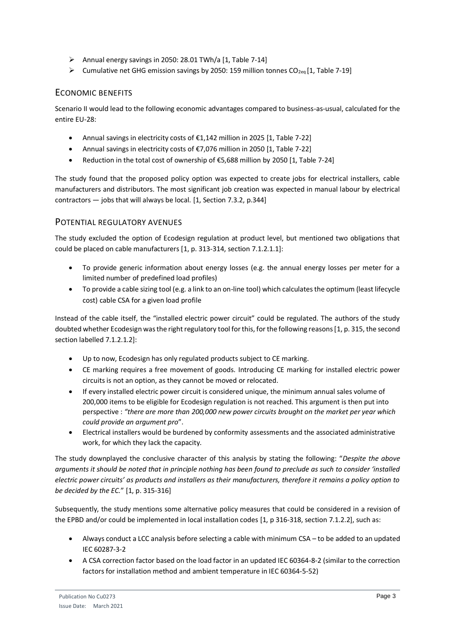- $\triangleright$  Annual energy savings in 2050: 28.01 TWh/a [\[1,](#page-3-3) Table 7-14]
- $\triangleright$  Cumulative net GHG emission savings by 2050: 159 million tonnes CO<sub>2eq</sub> [\[1,](#page-3-3) Table 7-19]

#### <span id="page-5-0"></span>ECONOMIC BENEFITS

Scenario II would lead to the following economic advantages compared to business-as-usual, calculated for the entire EU-28:

- Annual savings in electricity costs of  $£1,142$  million in 2025 [\[1,](#page-3-3) Table 7-22]
- Annual savings in electricity costs of €7,076 million in 2050 [\[1,](#page-3-3) Table 7-22]
- Reduction in the total cost of ownership of €5,688 million by 2050 [\[1,](#page-3-3) Table 7-24]

The study found that the proposed policy option was expected to create jobs for electrical installers, cable manufacturers and distributors. The most significant job creation was expected in manual labour by electrical contractors — jobs that will always be local. [\[1,](#page-3-3) Section 7.3.2, p.344]

#### <span id="page-5-1"></span>POTENTIAL REGULATORY AVENUES

The study excluded the option of Ecodesign regulation at product level, but mentioned two obligations that could be placed on cable manufacturers [\[1,](#page-3-3) p. 313-314, section 7.1.2.1.1]:

- To provide generic information about energy losses (e.g. the annual energy losses per meter for a limited number of predefined load profiles)
- To provide a cable sizing tool (e.g. a link to an on-line tool) which calculates the optimum (least lifecycle cost) cable CSA for a given load profile

Instead of the cable itself, the "installed electric power circuit" could be regulated. The authors of the study doubted whether Ecodesign was the right regulatory tool for this, for the following reasons [\[1,](#page-3-3) p. 315, the second section labelled 7.1.2.1.2]:

- Up to now, Ecodesign has only regulated products subject to CE marking.
- CE marking requires a free movement of goods. Introducing CE marking for installed electric power circuits is not an option, as they cannot be moved or relocated.
- If every installed electric power circuit is considered unique, the minimum annual sales volume of 200,000 items to be eligible for Ecodesign regulation is not reached. This argument is then put into perspective : *"there are more than 200,000 new power circuits brought on the market per year which could provide an argument pro*".
- Electrical installers would be burdened by conformity assessments and the associated administrative work, for which they lack the capacity.

The study downplayed the conclusive character of this analysis by stating the following: "*Despite the above arguments it should be noted that in principle nothing has been found to preclude as such to consider 'installed electric power circuits' as products and installers as their manufacturers, therefore it remains a policy option to be decided by the EC.*" [\[1,](#page-3-3) p. 315-316]

Subsequently, the study mentions some alternative policy measures that could be considered in a revision of the EPBD and/or could be implemented in local installation codes [1, p 316-318, section 7.1.2.2], such as:

- Always conduct a LCC analysis before selecting a cable with minimum CSA to be added to an updated IEC 60287-3-2
- A CSA correction factor based on the load factor in an updated IEC 60364-8-2 (similar to the correction factors for installation method and ambient temperature in IEC 60364-5-52)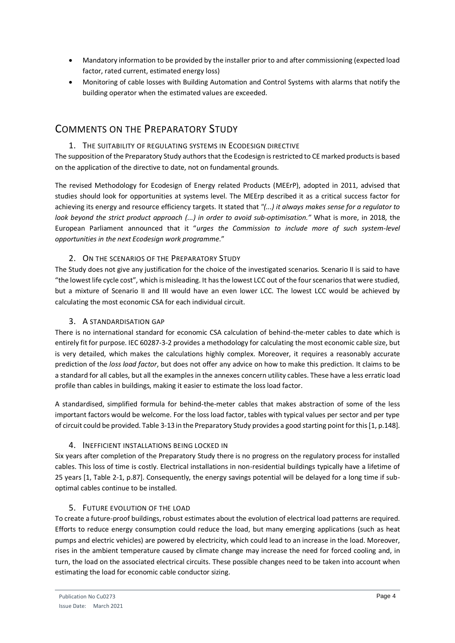- Mandatory information to be provided by the installer prior to and after commissioning (expected load factor, rated current, estimated energy loss)
- Monitoring of cable losses with Building Automation and Control Systems with alarms that notify the building operator when the estimated values are exceeded.

## <span id="page-6-0"></span>COMMENTS ON THE PREPARATORY STUDY

#### <span id="page-6-1"></span>1. THE SUITABILITY OF REGULATING SYSTEMS IN ECODESIGN DIRECTIVE

The supposition of the Preparatory Study authors that the Ecodesign is restricted to CE marked products is based on the application of the directive to date, not on fundamental grounds.

The revised Methodology for Ecodesign of Energy related Products (MEErP), adopted in 2011, advised that studies should look for opportunities at systems level. The MEErp described it as a critical success factor for achieving its energy and resource efficiency targets. It stated that *"(...) it always makes sense for a regulator to look beyond the strict product approach (...) in order to avoid sub‐optimisation."* What is more, in 2018, the European Parliament announced that it "*urges the Commission to include more of such system-level opportunities in the next Ecodesign work programme.*"

#### 2. ON THE SCENARIOS OF THE PREPARATORY STUDY

<span id="page-6-2"></span>The Study does not give any justification for the choice of the investigated scenarios. Scenario II is said to have "the lowest life cycle cost", which is misleading. It has the lowest LCC out of the four scenarios that were studied, but a mixture of Scenario II and III would have an even lower LCC. The lowest LCC would be achieved by calculating the most economic CSA for each individual circuit.

#### 3. A STANDARDISATION GAP

<span id="page-6-3"></span>There is no international standard for economic CSA calculation of behind-the-meter cables to date which is entirely fit for purpose. IEC 60287-3-2 provides a methodology for calculating the most economic cable size, but is very detailed, which makes the calculations highly complex. Moreover, it requires a reasonably accurate prediction of the *loss load factor*, but does not offer any advice on how to make this prediction. It claims to be a standard for all cables, but all the examples in the annexes concern utility cables. These have a less erratic load profile than cables in buildings, making it easier to estimate the loss load factor.

A standardised, simplified formula for behind-the-meter cables that makes abstraction of some of the less important factors would be welcome. For the loss load factor, tables with typical values per sector and per type of circuit could be provided. Table 3-13 in the Preparatory Study provides a good starting point for this [\[1,](#page-3-3) p.148].

#### 4. INEFFICIENT INSTALLATIONS BEING LOCKED IN

<span id="page-6-4"></span>Six years after completion of the Preparatory Study there is no progress on the regulatory process for installed cables. This loss of time is costly. Electrical installations in non-residential buildings typically have a lifetime of 25 years [\[1,](#page-3-3) Table 2-1, p.87]. Consequently, the energy savings potential will be delayed for a long time if suboptimal cables continue to be installed.

#### 5. FUTURE EVOLUTION OF THE LOAD

<span id="page-6-5"></span>To create a future-proof buildings, robust estimates about the evolution of electrical load patterns are required. Efforts to reduce energy consumption could reduce the load, but many emerging applications (such as heat pumps and electric vehicles) are powered by electricity, which could lead to an increase in the load. Moreover, rises in the ambient temperature caused by climate change may increase the need for forced cooling and, in turn, the load on the associated electrical circuits. These possible changes need to be taken into account when estimating the load for economic cable conductor sizing.